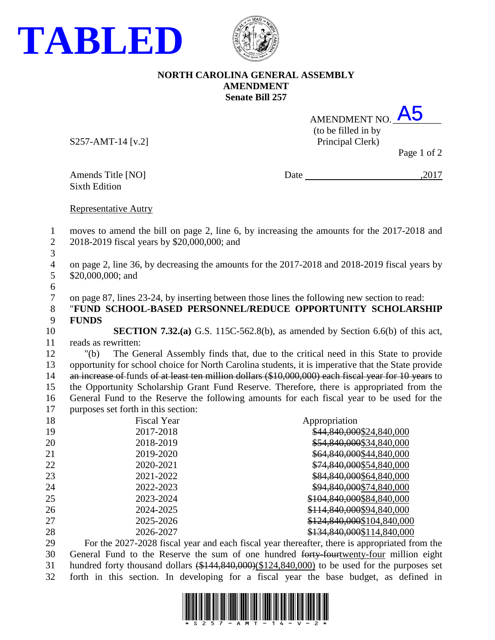



## **NORTH CAROLINA GENERAL ASSEMBLY AMENDMENT Senate Bill 257**

| AMENDMENT NO. A5                      |  |
|---------------------------------------|--|
| (to be filled in by                   |  |
| $D_{\text{minomial}}(T_{\text{out}})$ |  |

S257-AMT-14 [v.2] Principal Clerk)

Page 1 of 2

Sixth Edition

Amends Title [NO] Date ,2017

Representative Autry

 moves to amend the bill on page 2, line 6, by increasing the amounts for the 2017-2018 and 2018-2019 fiscal years by \$20,000,000; and

 on page 2, line 36, by decreasing the amounts for the 2017-2018 and 2018-2019 fiscal years by \$20,000,000; and

on page 87, lines 23-24, by inserting between those lines the following new section to read:

 "**FUND SCHOOL-BASED PERSONNEL/REDUCE OPPORTUNITY SCHOLARSHIP FUNDS**

 **SECTION 7.32.(a)** G.S. 115C-562.8(b), as amended by Section 6.6(b) of this act, reads as rewritten:

 "(b) The General Assembly finds that, due to the critical need in this State to provide opportunity for school choice for North Carolina students, it is imperative that the State provide 14 an increase of funds of at least ten million dollars (\$10,000,000) each fiscal year for 10 years to the Opportunity Scholarship Grant Fund Reserve. Therefore, there is appropriated from the General Fund to the Reserve the following amounts for each fiscal year to be used for the purposes set forth in this section:

| 18 | <b>Fiscal Year</b> | Appropriation              |
|----|--------------------|----------------------------|
| 19 | 2017-2018          | \$44,840,000\$24,840,000   |
| 20 | 2018-2019          | \$54,840,000\$34,840,000   |
| 21 | 2019-2020          | \$64,840,000\$44,840,000   |
| 22 | 2020-2021          | \$74,840,000\$54,840,000   |
| 23 | 2021-2022          | \$84,840,000\$64,840,000   |
| 24 | 2022-2023          | \$94,840,000\$74,840,000   |
| 25 | 2023-2024          | \$104,840,000\$84,840,000  |
| 26 | 2024-2025          | \$114,840,000\$94,840,000  |
| 27 | 2025-2026          | \$124,840,000\$104,840,000 |
| 28 | 2026-2027          | \$134,840,000\$114,840,000 |

 For the 2027-2028 fiscal year and each fiscal year thereafter, there is appropriated from the 30 General Fund to the Reserve the sum of one hundred forty-fourtwenty-four million eight 31 hundred forty thousand dollars  $(\$144,840,000)(\$124,840,000)$  to be used for the purposes set forth in this section. In developing for a fiscal year the base budget, as defined in